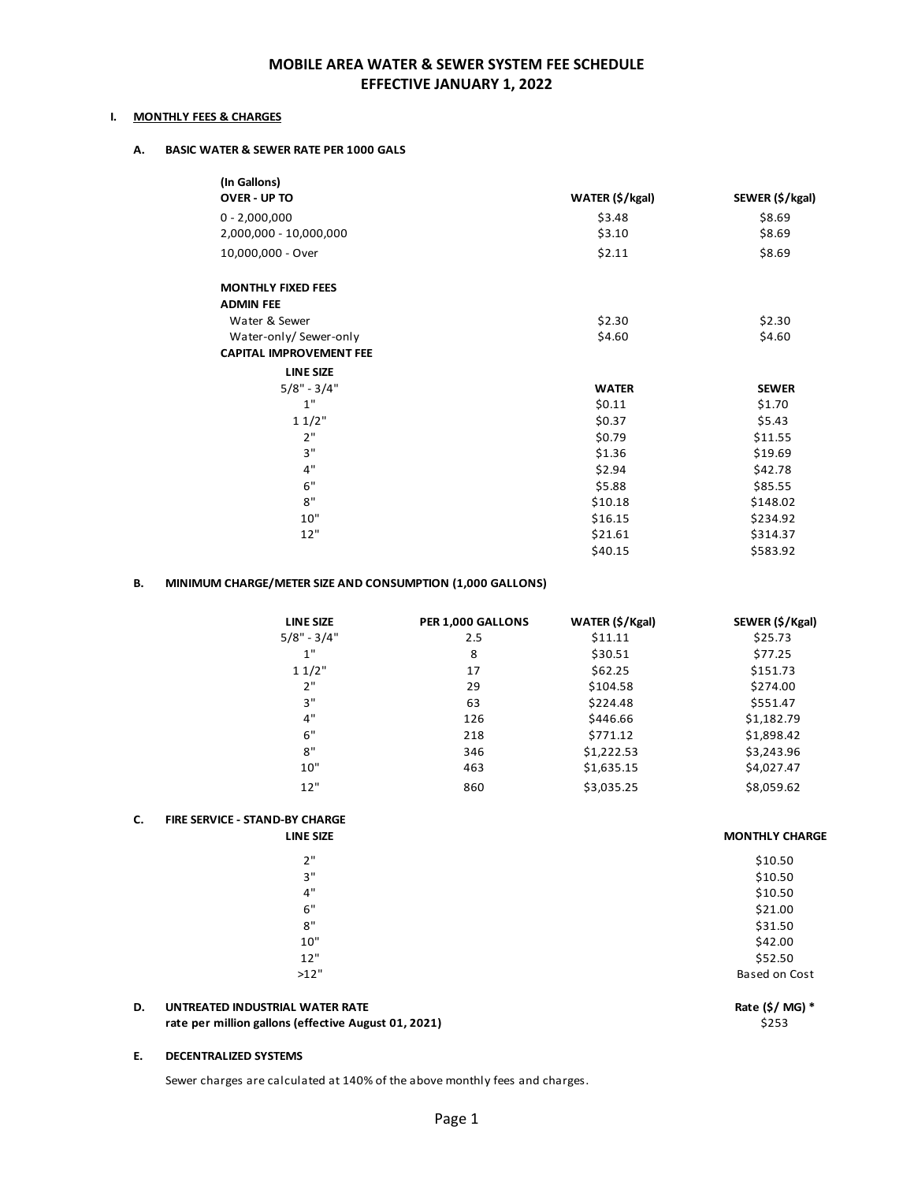### **MOBILE AREA WATER & SEWER SYSTEM FEE SCHEDULE EFFECTIVE JANUARY 1, 2022**

#### **I. MONTHLY FEES & CHARGES**

#### **A. BASIC WATER & SEWER RATE PER 1000 GALS**

| OVER - UP TO<br>WATER (\$/kgal)<br>\$3.48<br>\$8.69<br>$0 - 2,000,000$<br>2,000,000 - 10,000,000<br>\$3.10<br>\$8.69<br>\$8.69<br>10,000,000 - Over<br>\$2.11<br><b>MONTHLY FIXED FEES</b><br><b>ADMIN FEE</b><br>\$2.30<br>Water & Sewer<br>\$2.30<br>Water-only/ Sewer-only<br>\$4.60<br>\$4.60<br><b>CAPITAL IMPROVEMENT FEE</b><br><b>LINE SIZE</b><br>$5/8" - 3/4"$<br><b>WATER</b><br><b>SEWER</b><br>1"<br>\$0.11<br>\$1.70<br>11/2"<br>\$0.37<br>\$5.43<br>2"<br>\$0.79<br>\$11.55<br>3"<br>\$1.36<br>\$19.69<br>4"<br>\$2.94<br>\$42.78<br>6"<br>\$5.88<br>\$85.55<br>8"<br>\$10.18<br>\$148.02<br>10"<br>\$16.15<br>\$234.92<br>12"<br>\$21.61<br>\$314.37<br>\$40.15<br>\$583.92 | (In Gallons) |                 |
|---------------------------------------------------------------------------------------------------------------------------------------------------------------------------------------------------------------------------------------------------------------------------------------------------------------------------------------------------------------------------------------------------------------------------------------------------------------------------------------------------------------------------------------------------------------------------------------------------------------------------------------------------------------------------------------------|--------------|-----------------|
|                                                                                                                                                                                                                                                                                                                                                                                                                                                                                                                                                                                                                                                                                             |              | SEWER (\$/kgal) |
|                                                                                                                                                                                                                                                                                                                                                                                                                                                                                                                                                                                                                                                                                             |              |                 |
|                                                                                                                                                                                                                                                                                                                                                                                                                                                                                                                                                                                                                                                                                             |              |                 |
|                                                                                                                                                                                                                                                                                                                                                                                                                                                                                                                                                                                                                                                                                             |              |                 |
|                                                                                                                                                                                                                                                                                                                                                                                                                                                                                                                                                                                                                                                                                             |              |                 |
|                                                                                                                                                                                                                                                                                                                                                                                                                                                                                                                                                                                                                                                                                             |              |                 |
|                                                                                                                                                                                                                                                                                                                                                                                                                                                                                                                                                                                                                                                                                             |              |                 |
|                                                                                                                                                                                                                                                                                                                                                                                                                                                                                                                                                                                                                                                                                             |              |                 |
|                                                                                                                                                                                                                                                                                                                                                                                                                                                                                                                                                                                                                                                                                             |              |                 |
|                                                                                                                                                                                                                                                                                                                                                                                                                                                                                                                                                                                                                                                                                             |              |                 |
|                                                                                                                                                                                                                                                                                                                                                                                                                                                                                                                                                                                                                                                                                             |              |                 |
|                                                                                                                                                                                                                                                                                                                                                                                                                                                                                                                                                                                                                                                                                             |              |                 |
|                                                                                                                                                                                                                                                                                                                                                                                                                                                                                                                                                                                                                                                                                             |              |                 |
|                                                                                                                                                                                                                                                                                                                                                                                                                                                                                                                                                                                                                                                                                             |              |                 |
|                                                                                                                                                                                                                                                                                                                                                                                                                                                                                                                                                                                                                                                                                             |              |                 |
|                                                                                                                                                                                                                                                                                                                                                                                                                                                                                                                                                                                                                                                                                             |              |                 |
|                                                                                                                                                                                                                                                                                                                                                                                                                                                                                                                                                                                                                                                                                             |              |                 |
|                                                                                                                                                                                                                                                                                                                                                                                                                                                                                                                                                                                                                                                                                             |              |                 |
|                                                                                                                                                                                                                                                                                                                                                                                                                                                                                                                                                                                                                                                                                             |              |                 |
|                                                                                                                                                                                                                                                                                                                                                                                                                                                                                                                                                                                                                                                                                             |              |                 |
|                                                                                                                                                                                                                                                                                                                                                                                                                                                                                                                                                                                                                                                                                             |              |                 |

#### **B. MINIMUM CHARGE/METER SIZE AND CONSUMPTION (1,000 GALLONS)**

| <b>LINE SIZE</b> | PER 1,000 GALLONS | WATER (\$/Kgal) | SEWER (\$/Kgal) |
|------------------|-------------------|-----------------|-----------------|
| $5/8" - 3/4"$    | 2.5               | \$11.11         | \$25.73         |
| 1"               | 8                 | \$30.51         | \$77.25         |
| 11/2"            | 17                | \$62.25         | \$151.73        |
| 2"               | 29                | \$104.58        | \$274.00        |
| 3"               | 63                | \$224.48        | \$551.47        |
| 4"               | 126               | \$446.66        | \$1,182.79      |
| 6"               | 218               | \$771.12        | \$1,898.42      |
| 8"               | 346               | \$1,222.53      | \$3,243.96      |
| 10"              | 463               | \$1,635.15      | \$4,027.47      |
| 12"              | 860               | \$3,035.25      | \$8,059.62      |

#### **C. FIRE SERVICE ‐ STAND‐BY CHARGE**

| 2"   | \$10.50       |
|------|---------------|
| 3"   | \$10.50       |
| 4"   | \$10.50       |
| 6"   | \$21.00       |
| 8"   | \$31.50       |
| 10"  | \$42.00       |
| 12"  | \$52.50       |
| >12" | Based on Cost |
|      |               |

#### **D. UNTREATED INDUSTRIAL WATER RATE Rate (\$/ MG) \* rate per million gallons (effective August 01, 2021)** \$253

#### **E. DECENTRALIZED SYSTEMS**

Sewer charges are calculated at 140% of the above monthly fees and charges.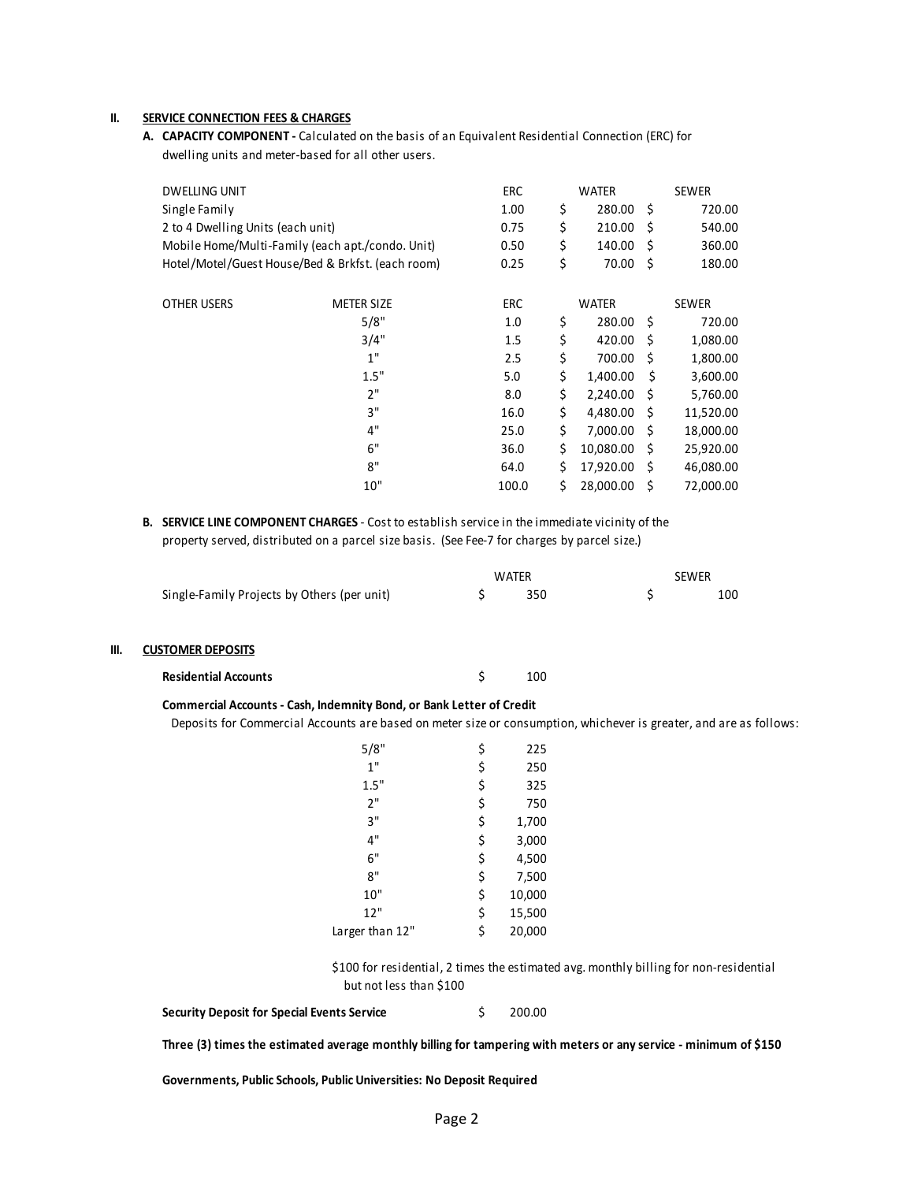#### **II. SERVICE CONNECTION FEES & CHARGES**

**A. CAPACITY COMPONENT ‐** Calculated on the basis of an Equivalent Residential Connection (ERC) for dwelling units and meter‐based for all other users.

| <b>DWELLING UNIT</b>              |                                                   | ERC   | <b>WATER</b>    |      | <b>SEWER</b> |
|-----------------------------------|---------------------------------------------------|-------|-----------------|------|--------------|
| Single Family                     |                                                   | 1.00  | \$<br>280.00    | - \$ | 720.00       |
| 2 to 4 Dwelling Units (each unit) |                                                   | 0.75  | \$<br>210.00    | -S   | 540.00       |
|                                   | Mobile Home/Multi-Family (each apt./condo. Unit)  | 0.50  | \$<br>140.00    | -S   | 360.00       |
|                                   | Hotel/Motel/Guest House/Bed & Brkfst. (each room) | 0.25  | \$<br>70.00     | - Ś  | 180.00       |
| OTHER USERS                       | <b>METER SIZE</b>                                 | ERC   | <b>WATER</b>    |      | <b>SEWER</b> |
|                                   | 5/8"                                              | 1.0   | \$<br>280.00    | - \$ | 720.00       |
|                                   | 3/4"                                              | 1.5   | \$<br>420.00    | Ŝ    | 1,080.00     |
|                                   | 1"                                                | 2.5   | \$<br>700.00    | -\$  | 1,800.00     |
|                                   | 1.5"                                              | 5.0   | \$<br>1,400.00  | Ś.   | 3,600.00     |
|                                   | 2"                                                | 8.0   | \$<br>2,240.00  | -Ś   | 5,760.00     |
|                                   | 3"                                                | 16.0  | \$<br>4,480.00  | - Ś  | 11,520.00    |
|                                   | 4"                                                | 25.0  | \$<br>7,000.00  | - \$ | 18,000.00    |
|                                   | 6"                                                | 36.0  | \$<br>10,080.00 | -Ś   | 25,920.00    |
|                                   | 8"                                                | 64.0  | \$<br>17,920.00 | -Ś   | 46,080.00    |
|                                   | 10"                                               | 100.0 | \$<br>28,000.00 | \$   | 72,000.00    |
|                                   |                                                   |       |                 |      |              |

**B. SERVICE LINE COMPONENT CHARGES** ‐ Cost to establish service in the immediate vicinity of the property served, distributed on a parcel size basis. (See Fee-7 for charges by parcel size.)

|                                             | <b>WATFR</b> |     | <b>SEWER</b> |
|---------------------------------------------|--------------|-----|--------------|
| Single-Family Projects by Others (per unit) |              | 350 | 100          |

#### **III. CUSTOMER DEPOSITS**

| <b>Residential Accounts</b> |  | 100 |
|-----------------------------|--|-----|
|-----------------------------|--|-----|

#### **Commercial Accounts ‐ Cash, Indemnity Bond, or Bank Letter of Credit**

Deposits for Commercial Accounts are based on meter size or consumption, whichever is greater, and are as follows:

| 5/8"            | \$<br>225    |
|-----------------|--------------|
| 1"              | \$<br>250    |
| 1.5"            | \$<br>325    |
| 2"              | \$<br>750    |
| 3"              | \$<br>1,700  |
| 4"              | \$<br>3,000  |
| 6"              | \$<br>4,500  |
| ጸ"              | \$<br>7,500  |
| 10"             | \$<br>10,000 |
| 12"             | \$<br>15,500 |
| Larger than 12" | \$<br>20,000 |
|                 |              |

\$100 for residential, 2 times the estimated avg. monthly billing for non‐residential but not less than \$100

**Security Deposit for Special Events Service** \$ 200.00

Three (3) times the estimated average monthly billing for tampering with meters or any service - minimum of \$150

**Governments, Public Schools, Public Universities: No Deposit Required**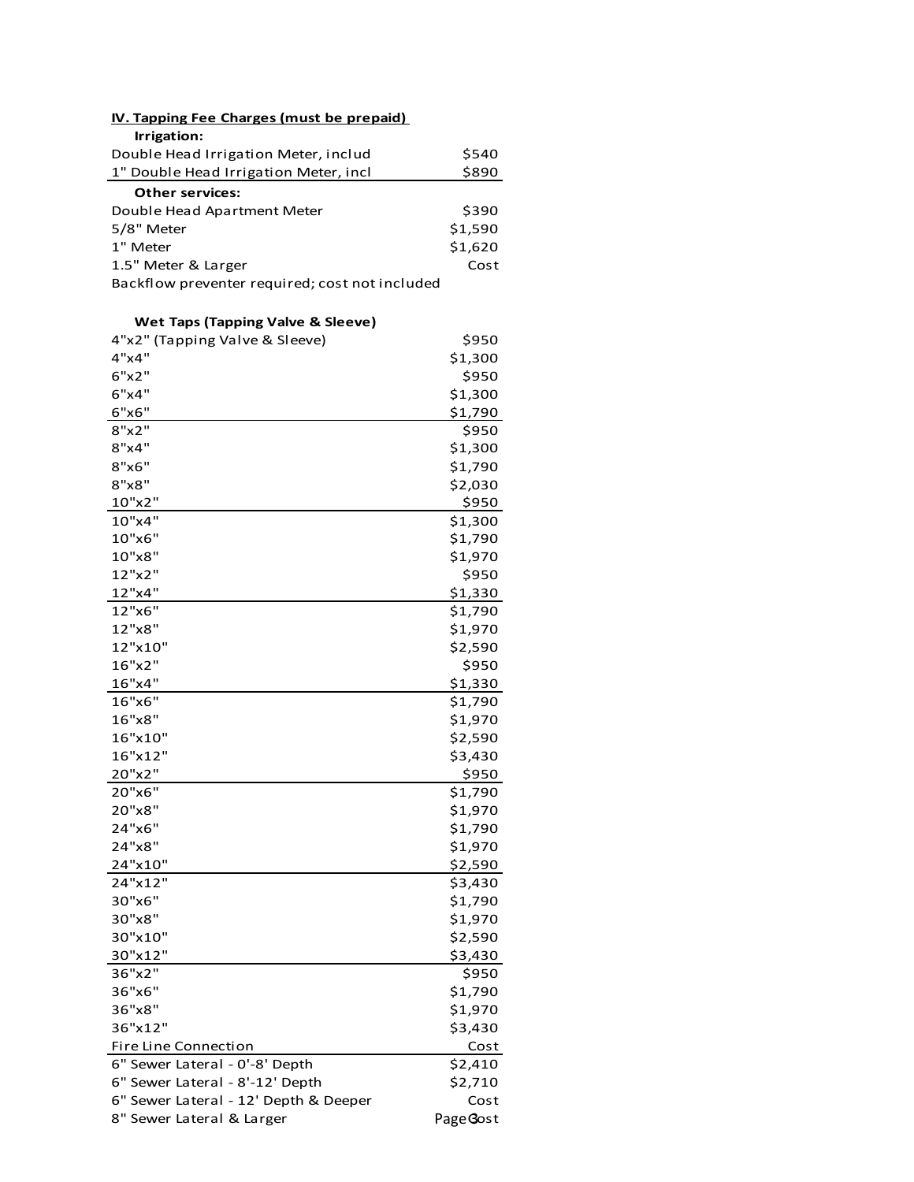| <b>IV. Tapping Fee Charges (must be prepaid)</b> |  |  |  |
|--------------------------------------------------|--|--|--|
|                                                  |  |  |  |
| \$540                                            |  |  |  |
| \$890                                            |  |  |  |
|                                                  |  |  |  |
| \$390                                            |  |  |  |
| \$1,590                                          |  |  |  |
| \$1,620                                          |  |  |  |
| Cost                                             |  |  |  |
|                                                  |  |  |  |
|                                                  |  |  |  |

# **Wet Taps (Tapping Valve & Sleeve)**

| 4"x2" (Tapping Valve & Sleeve)        | \$950     |
|---------------------------------------|-----------|
| 4"x4"                                 | \$1,300   |
| 6"x2"                                 | \$950     |
| 6"x4"                                 | \$1,300   |
| 6"x6"                                 | \$1,790   |
| 8"x2"                                 | \$950     |
| 8"x4"                                 | \$1,300   |
| 8"x6"                                 | \$1,790   |
| 8"x8"                                 | \$2,030   |
| 10"x2"                                | \$950     |
| 10"x4"                                | \$1,300   |
| 10"x6"                                | \$1,790   |
| 10"x8"                                | \$1,970   |
| 12"x2"                                | \$950     |
| 12"x4"                                | \$1,330   |
| 12"x6"                                | \$1,790   |
| 12"x8"                                | \$1,970   |
| 12"x10"                               | \$2,590   |
| 16"x2"                                | \$950     |
| 16"x4"                                | \$1,330   |
| 16"x6"                                | \$1,790   |
| 16"x8"                                | \$1,970   |
| 16"x10"                               | \$2,590   |
| 16"x12"                               | \$3,430   |
| 20"x2"                                | \$950     |
| 20"x6"                                | \$1,790   |
| 20"x8"                                | \$1,970   |
| 24"x6"                                | \$1,790   |
| 24"x8"                                | \$1,970   |
| 24"x10"                               | \$2,590   |
| 24"x12"                               | \$3,430   |
| 30"x6"                                | \$1,790   |
| 30"x8"                                | \$1,970   |
| 30"x10"                               | \$2,590   |
| 30"x12"                               | \$3,430   |
| 36"x2"                                | \$950     |
| 36"x6"                                | \$1,790   |
| 36"x8"                                | \$1,970   |
| 36"x12"                               | \$3,430   |
| Fire Line Connection                  | Cost      |
| 6" Sewer Lateral - 0'-8' Depth        | \$2,410   |
| 6" Sewer Lateral - 8'-12' Depth       | \$2,710   |
| 6" Sewer Lateral - 12' Depth & Deeper | Cost      |
| 8" Sewer Lateral & Larger             | Page Gost |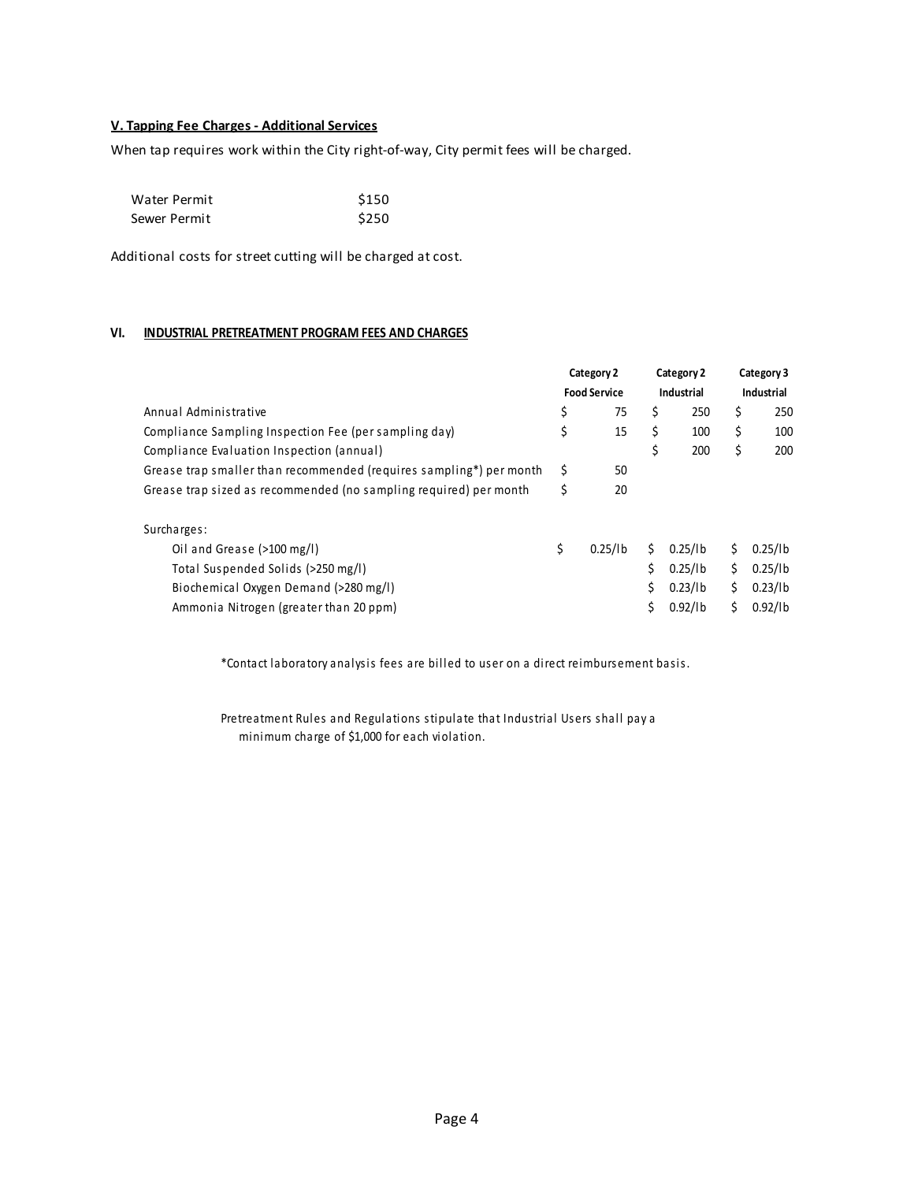## **V. Tapping Fee Charges ‐ Additional Services**

When tap requires work within the City right-of-way, City permit fees will be charged.

| Water Permit | \$150 |
|--------------|-------|
| Sewer Permit | \$250 |

Additional costs for street cutting will be charged at cost.

### **VI. INDUSTRIAL PRETREATMENT PROGRAM FEES AND CHARGES**

|               |                                   |                     |                          | Category 3        |
|---------------|-----------------------------------|---------------------|--------------------------|-------------------|
|               |                                   |                     |                          | <b>Industrial</b> |
| \$<br>75      | \$                                | 250                 | \$                       | 250               |
| \$<br>15      | \$                                | 100                 | \$                       | 100               |
|               | \$                                | 200                 | \$                       | 200               |
| \$<br>50      |                                   |                     |                          |                   |
| \$<br>20      |                                   |                     |                          |                   |
|               |                                   |                     |                          |                   |
| \$<br>0.25/1b | Ś.                                | 0.25/1 <sub>b</sub> | Ś                        | 0.25/l b          |
|               |                                   | $0.25$ /lb          | Ś                        | 0.25/l b          |
|               | Ś.                                | 0.23/1b             | Ś.                       | 0.23/1b           |
|               |                                   | $0.92$ /lb          | Ś                        | $0.92$ /lb        |
|               | Category 2<br><b>Food Service</b> |                     | Category 2<br>Industrial |                   |

\*Contact laboratory analysis fees are billed to user on a direct reimbursement basis.

Pretreatment Rules and Regulations stipulate that Industrial Users shall pay a minimum charge of \$1,000 for each violation.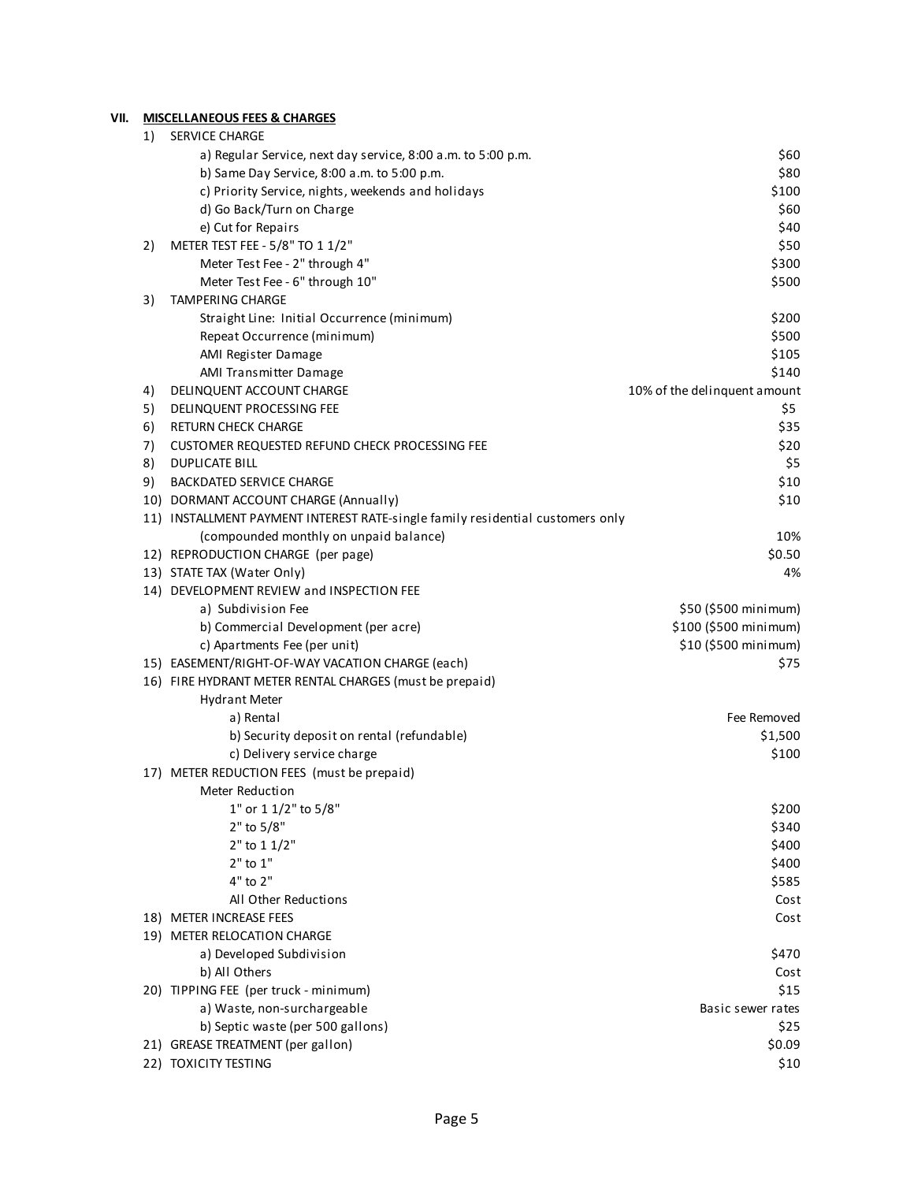## **VII. MISCELLANEOUS FEES & CHARGES**

| 1)  | <b>SERVICE CHARGE</b>                                                          |                              |
|-----|--------------------------------------------------------------------------------|------------------------------|
|     | a) Regular Service, next day service, 8:00 a.m. to 5:00 p.m.                   | \$60                         |
|     | b) Same Day Service, 8:00 a.m. to 5:00 p.m.                                    | \$80                         |
|     | c) Priority Service, nights, weekends and holidays                             | \$100                        |
|     | d) Go Back/Turn on Charge                                                      | \$60                         |
|     | e) Cut for Repairs                                                             | \$40                         |
| 2)  | METER TEST FEE - 5/8" TO 1 1/2"                                                | \$50                         |
|     | Meter Test Fee - 2" through 4"                                                 | \$300                        |
|     | Meter Test Fee - 6" through 10"                                                | \$500                        |
| 3)  | TAMPERING CHARGE                                                               |                              |
|     | Straight Line: Initial Occurrence (minimum)                                    | \$200                        |
|     | Repeat Occurrence (minimum)                                                    | \$500                        |
|     | AMI Register Damage                                                            | \$105                        |
|     | AMI Transmitter Damage                                                         | \$140                        |
| 4)  | DELINQUENT ACCOUNT CHARGE                                                      | 10% of the delinquent amount |
| 5)  | DELINQUENT PROCESSING FEE                                                      | \$5                          |
| 6)  | <b>RETURN CHECK CHARGE</b>                                                     | \$35                         |
| 7)  | CUSTOMER REQUESTED REFUND CHECK PROCESSING FEE                                 | \$20                         |
| 8)  | <b>DUPLICATE BILL</b>                                                          | \$5                          |
| 9)  | <b>BACKDATED SERVICE CHARGE</b>                                                | \$10                         |
|     | 10) DORMANT ACCOUNT CHARGE (Annually)                                          | \$10                         |
|     | 11) INSTALLMENT PAYMENT INTEREST RATE-single family residential customers only |                              |
|     | (compounded monthly on unpaid balance)                                         | 10%                          |
|     | 12) REPRODUCTION CHARGE (per page)                                             | \$0.50                       |
|     | 13) STATE TAX (Water Only)                                                     | 4%                           |
|     | 14) DEVELOPMENT REVIEW and INSPECTION FEE                                      |                              |
|     | a) Subdivision Fee                                                             | \$50 (\$500 minimum)         |
|     | b) Commercial Development (per acre)                                           | \$100 (\$500 minimum)        |
|     | c) Apartments Fee (per unit)                                                   | \$10 (\$500 minimum)         |
|     | 15) EASEMENT/RIGHT-OF-WAY VACATION CHARGE (each)                               | \$75                         |
|     | 16) FIRE HYDRANT METER RENTAL CHARGES (must be prepaid)                        |                              |
|     | <b>Hydrant Meter</b>                                                           |                              |
|     | a) Rental                                                                      | Fee Removed                  |
|     | b) Security deposit on rental (refundable)                                     | \$1,500                      |
|     | c) Delivery service charge                                                     | \$100                        |
|     | 17) METER REDUCTION FEES (must be prepaid)                                     |                              |
|     | Meter Reduction                                                                |                              |
|     | 1" or 1 1/2" to 5/8"                                                           | \$200                        |
|     | 2" to 5/8"                                                                     | \$340                        |
|     | $2"$ to 1 1/2"                                                                 | \$400                        |
|     | $2"$ to $1"$                                                                   | \$400                        |
|     | 4" to 2"                                                                       | \$585                        |
|     | All Other Reductions                                                           | Cost                         |
|     | 18) METER INCREASE FEES                                                        | Cost                         |
|     | 19) METER RELOCATION CHARGE                                                    |                              |
|     | a) Developed Subdivision                                                       | \$470                        |
|     | b) All Others                                                                  | Cost                         |
|     | 20) TIPPING FEE (per truck - minimum)                                          | \$15                         |
|     | a) Waste, non-surchargeable                                                    | Basic sewer rates            |
|     | b) Septic waste (per 500 gallons)                                              | \$25                         |
|     | 21) GREASE TREATMENT (per gallon)                                              | \$0.09                       |
| 22) | TOXICITY TESTING                                                               | \$10                         |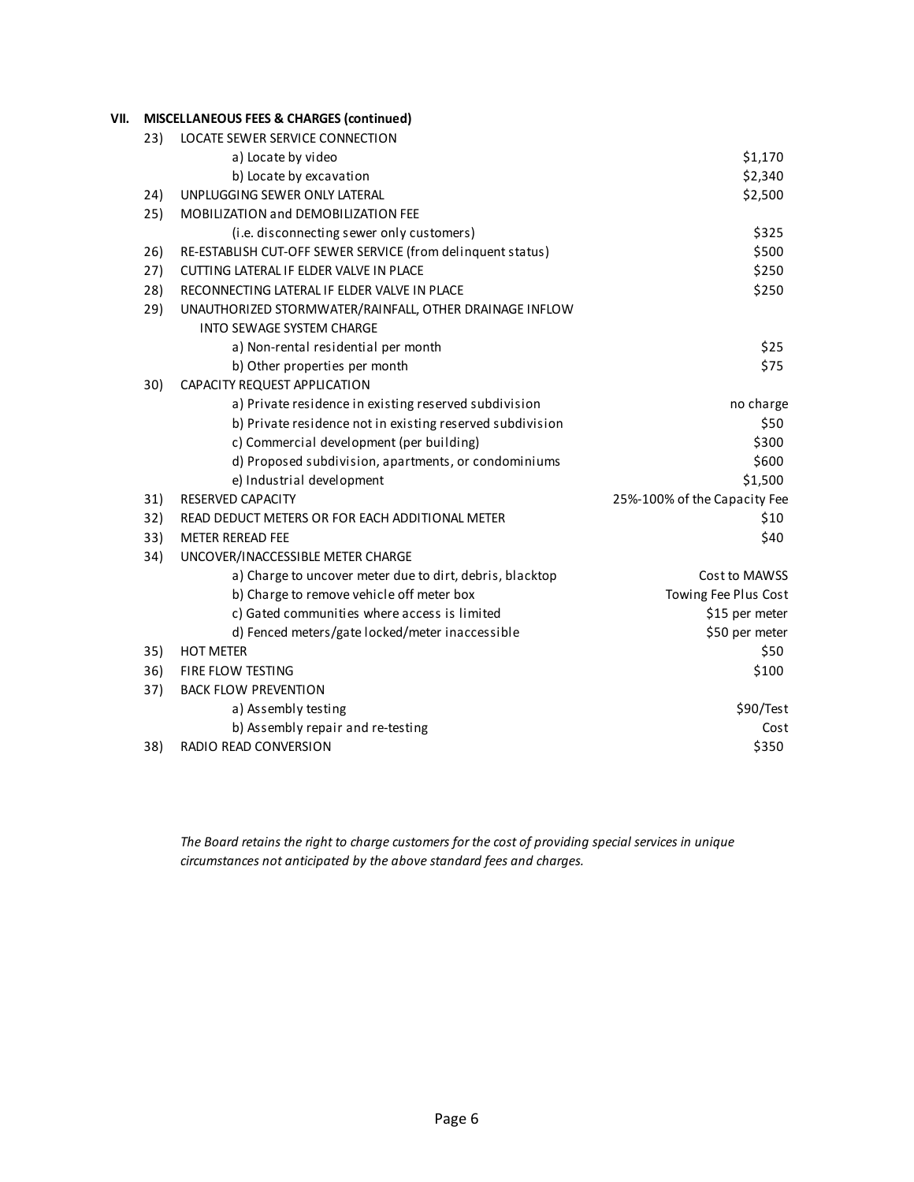### **VII. MISCELLANEOUS FEES & CHARGES (continued)**

| 23) | LOCATE SEWER SERVICE CONNECTION                             |                              |
|-----|-------------------------------------------------------------|------------------------------|
|     | a) Locate by video                                          | \$1,170                      |
|     | b) Locate by excavation                                     | \$2,340                      |
| 24) | UNPLUGGING SEWER ONLY LATERAL                               | \$2,500                      |
| 25) | MOBILIZATION and DEMOBILIZATION FEE                         |                              |
|     | (i.e. disconnecting sewer only customers)                   | \$325                        |
| 26) | RE-ESTABLISH CUT-OFF SEWER SERVICE (from delinquent status) | \$500                        |
| 27) | CUTTING LATERAL IF ELDER VALVE IN PLACE                     | \$250                        |
| 28) | RECONNECTING LATERAL IF ELDER VALVE IN PLACE                | \$250                        |
| 29) | UNAUTHORIZED STORMWATER/RAINFALL, OTHER DRAINAGE INFLOW     |                              |
|     | <b>INTO SEWAGE SYSTEM CHARGE</b>                            |                              |
|     | a) Non-rental residential per month                         | \$25                         |
|     | b) Other properties per month                               | \$75                         |
| 30) | CAPACITY REQUEST APPLICATION                                |                              |
|     | a) Private residence in existing reserved subdivision       | no charge                    |
|     | b) Private residence not in existing reserved subdivision   | \$50                         |
|     | c) Commercial development (per building)                    | \$300                        |
|     | d) Proposed subdivision, apartments, or condominiums        | \$600                        |
|     | e) Industrial development                                   | \$1,500                      |
| 31) | <b>RESERVED CAPACITY</b>                                    | 25%-100% of the Capacity Fee |
| 32) | READ DEDUCT METERS OR FOR EACH ADDITIONAL METER             | \$10                         |
| 33) | <b>METER REREAD FEE</b>                                     | \$40                         |
| 34) | UNCOVER/INACCESSIBLE METER CHARGE                           |                              |
|     | a) Charge to uncover meter due to dirt, debris, blacktop    | Cost to MAWSS                |
|     | b) Charge to remove vehicle off meter box                   | Towing Fee Plus Cost         |
|     | c) Gated communities where access is limited                | \$15 per meter               |
|     | d) Fenced meters/gate locked/meter inaccessible             | \$50 per meter               |
| 35) | <b>HOT METER</b>                                            | \$50                         |
| 36) | FIRE FLOW TESTING                                           | \$100                        |
| 37) | <b>BACK FLOW PREVENTION</b>                                 |                              |
|     | a) Assembly testing                                         | \$90/Test                    |
|     | b) Assembly repair and re-testing                           | Cost                         |
| 38) | RADIO READ CONVERSION                                       | \$350                        |

*The Board retains the right to charge customers for the cost of providing special services in unique circumstances not anticipated by the above standard fees and charges.*